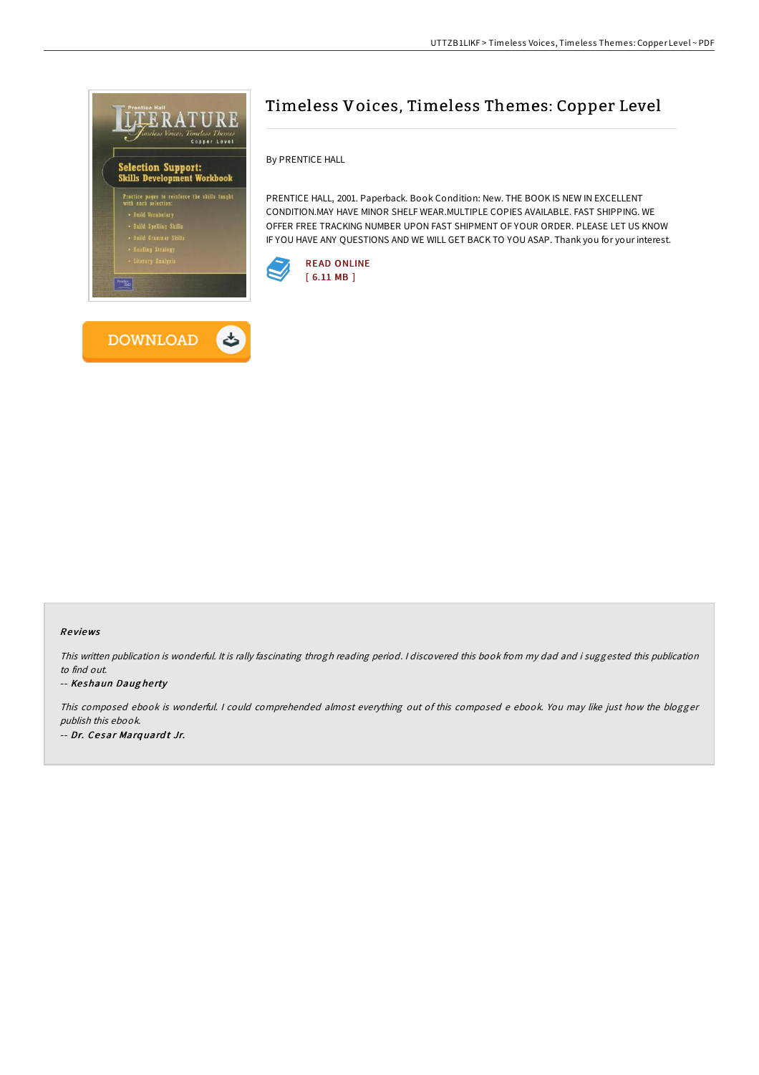

# Timeless Voices, Timeless Themes: Copper Level

By PRENTICE HALL

PRENTICE HALL, 2001. Paperback. Book Condition: New. THE BOOK IS NEW IN EXCELLENT CONDITION.MAY HAVE MINOR SHELF WEAR.MULTIPLE COPIES AVAILABLE. FAST SHIPPING. WE OFFER FREE TRACKING NUMBER UPON FAST SHIPMENT OF YOUR ORDER. PLEASE LET US KNOW IF YOU HAVE ANY QUESTIONS AND WE WILL GET BACK TO YOU ASAP. Thank you for your interest.





This written publication is wonderful. It is rally fascinating throgh reading period. <sup>I</sup> discovered this book from my dad and i suggested this publication to find out.

### -- Keshaun Daugherty

This composed ebook is wonderful. <sup>I</sup> could comprehended almost everything out of this composed <sup>e</sup> ebook. You may like just how the blogger publish this ebook. -- Dr. Cesar Marquardt Jr.